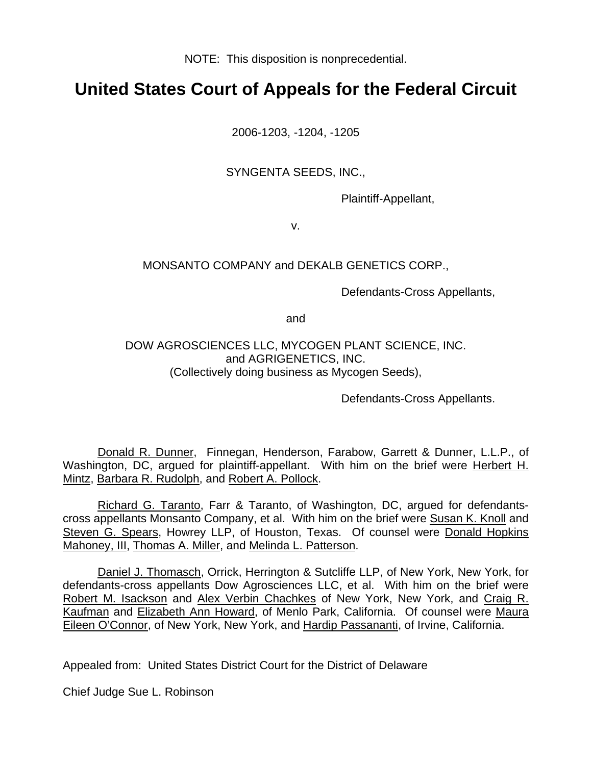NOTE: This disposition is nonprecedential.

# **United States Court of Appeals for the Federal Circuit**

2006-1203, -1204, -1205

SYNGENTA SEEDS, INC.,

Plaintiff-Appellant,

v.

### MONSANTO COMPANY and DEKALB GENETICS CORP.,

Defendants-Cross Appellants,

and

### DOW AGROSCIENCES LLC, MYCOGEN PLANT SCIENCE, INC. and AGRIGENETICS, INC. (Collectively doing business as Mycogen Seeds),

Defendants-Cross Appellants.

Donald R. Dunner, Finnegan, Henderson, Farabow, Garrett & Dunner, L.L.P., of Washington, DC, argued for plaintiff-appellant. With him on the brief were Herbert H. Mintz, Barbara R. Rudolph, and Robert A. Pollock.

Richard G. Taranto, Farr & Taranto, of Washington, DC, argued for defendantscross appellants Monsanto Company, et al. With him on the brief were Susan K. Knoll and Steven G. Spears, Howrey LLP, of Houston, Texas. Of counsel were Donald Hopkins Mahoney, III, Thomas A. Miller, and Melinda L. Patterson.

Daniel J. Thomasch, Orrick, Herrington & Sutcliffe LLP, of New York, New York, for defendants-cross appellants Dow Agrosciences LLC, et al. With him on the brief were Robert M. Isackson and Alex Verbin Chachkes of New York, New York, and Craig R. Kaufman and Elizabeth Ann Howard, of Menlo Park, California. Of counsel were Maura Eileen O'Connor, of New York, New York, and Hardip Passananti, of Irvine, California.

Appealed from: United States District Court for the District of Delaware

Chief Judge Sue L. Robinson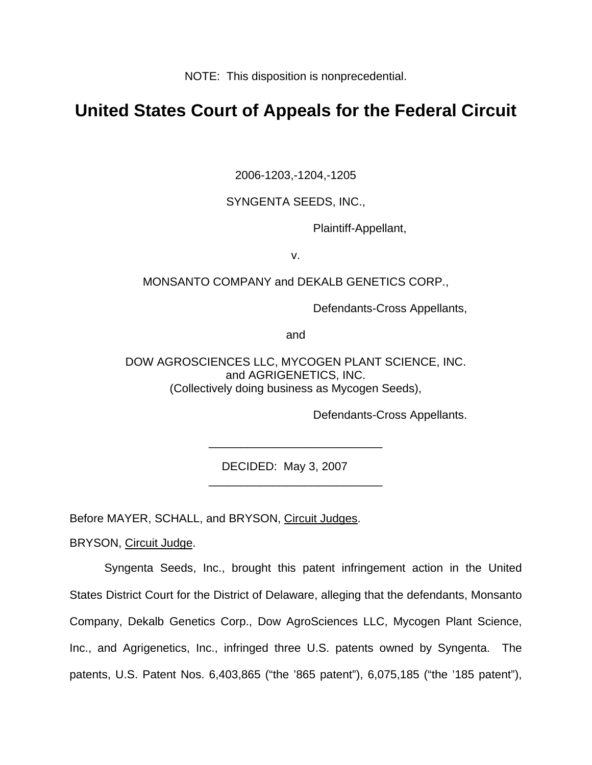NOTE: This disposition is nonprecedential.

# **United States Court of Appeals for the Federal Circuit**

2006-1203,-1204,-1205

SYNGENTA SEEDS, INC.,

Plaintiff-Appellant,

v.

### MONSANTO COMPANY and DEKALB GENETICS CORP.,

Defendants-Cross Appellants,

and

DOW AGROSCIENCES LLC, MYCOGEN PLANT SCIENCE, INC. and AGRIGENETICS, INC. (Collectively doing business as Mycogen Seeds),

\_\_\_\_\_\_\_\_\_\_\_\_\_\_\_\_\_\_\_\_\_\_\_\_\_\_\_

\_\_\_\_\_\_\_\_\_\_\_\_\_\_\_\_\_\_\_\_\_\_\_\_\_\_\_

Defendants-Cross Appellants.

DECIDED: May 3, 2007

Before MAYER, SCHALL, and BRYSON, Circuit Judges.

BRYSON, Circuit Judge.

Syngenta Seeds, Inc., brought this patent infringement action in the United States District Court for the District of Delaware, alleging that the defendants, Monsanto Company, Dekalb Genetics Corp., Dow AgroSciences LLC, Mycogen Plant Science, Inc., and Agrigenetics, Inc., infringed three U.S. patents owned by Syngenta. The patents, U.S. Patent Nos. 6,403,865 ("the '865 patent"), 6,075,185 ("the '185 patent"),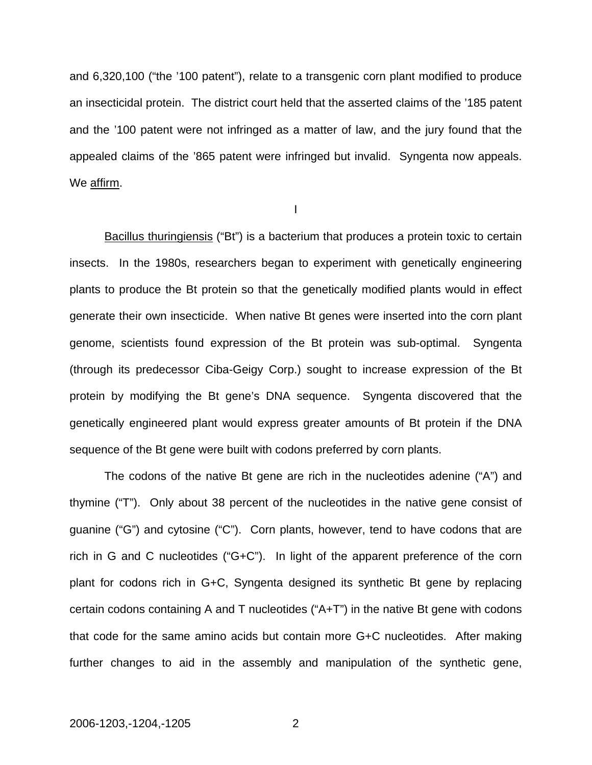and 6,320,100 ("the '100 patent"), relate to a transgenic corn plant modified to produce an insecticidal protein. The district court held that the asserted claims of the '185 patent and the '100 patent were not infringed as a matter of law, and the jury found that the appealed claims of the '865 patent were infringed but invalid. Syngenta now appeals. We affirm.

I

Bacillus thuringiensis ("Bt") is a bacterium that produces a protein toxic to certain insects. In the 1980s, researchers began to experiment with genetically engineering plants to produce the Bt protein so that the genetically modified plants would in effect generate their own insecticide. When native Bt genes were inserted into the corn plant genome, scientists found expression of the Bt protein was sub-optimal. Syngenta (through its predecessor Ciba-Geigy Corp.) sought to increase expression of the Bt protein by modifying the Bt gene's DNA sequence. Syngenta discovered that the genetically engineered plant would express greater amounts of Bt protein if the DNA sequence of the Bt gene were built with codons preferred by corn plants.

The codons of the native Bt gene are rich in the nucleotides adenine ("A") and thymine ("T"). Only about 38 percent of the nucleotides in the native gene consist of guanine ("G") and cytosine ("C"). Corn plants, however, tend to have codons that are rich in G and C nucleotides ("G+C"). In light of the apparent preference of the corn plant for codons rich in G+C, Syngenta designed its synthetic Bt gene by replacing certain codons containing A and T nucleotides ("A+T") in the native Bt gene with codons that code for the same amino acids but contain more G+C nucleotides. After making further changes to aid in the assembly and manipulation of the synthetic gene,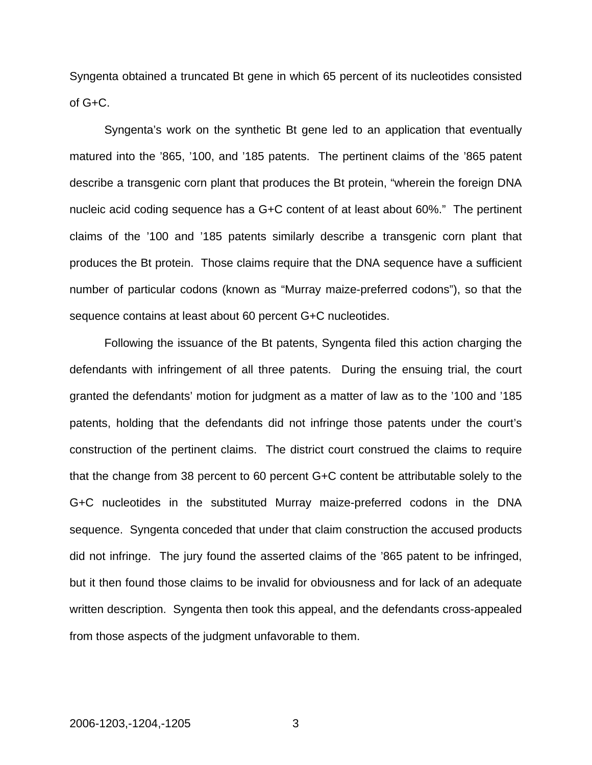Syngenta obtained a truncated Bt gene in which 65 percent of its nucleotides consisted of G+C.

 Syngenta's work on the synthetic Bt gene led to an application that eventually matured into the '865, '100, and '185 patents. The pertinent claims of the '865 patent describe a transgenic corn plant that produces the Bt protein, "wherein the foreign DNA nucleic acid coding sequence has a G+C content of at least about 60%." The pertinent claims of the '100 and '185 patents similarly describe a transgenic corn plant that produces the Bt protein. Those claims require that the DNA sequence have a sufficient number of particular codons (known as "Murray maize-preferred codons"), so that the sequence contains at least about 60 percent G+C nucleotides.

Following the issuance of the Bt patents, Syngenta filed this action charging the defendants with infringement of all three patents. During the ensuing trial, the court granted the defendants' motion for judgment as a matter of law as to the '100 and '185 patents, holding that the defendants did not infringe those patents under the court's construction of the pertinent claims. The district court construed the claims to require that the change from 38 percent to 60 percent G+C content be attributable solely to the G+C nucleotides in the substituted Murray maize-preferred codons in the DNA sequence. Syngenta conceded that under that claim construction the accused products did not infringe. The jury found the asserted claims of the '865 patent to be infringed, but it then found those claims to be invalid for obviousness and for lack of an adequate written description. Syngenta then took this appeal, and the defendants cross-appealed from those aspects of the judgment unfavorable to them.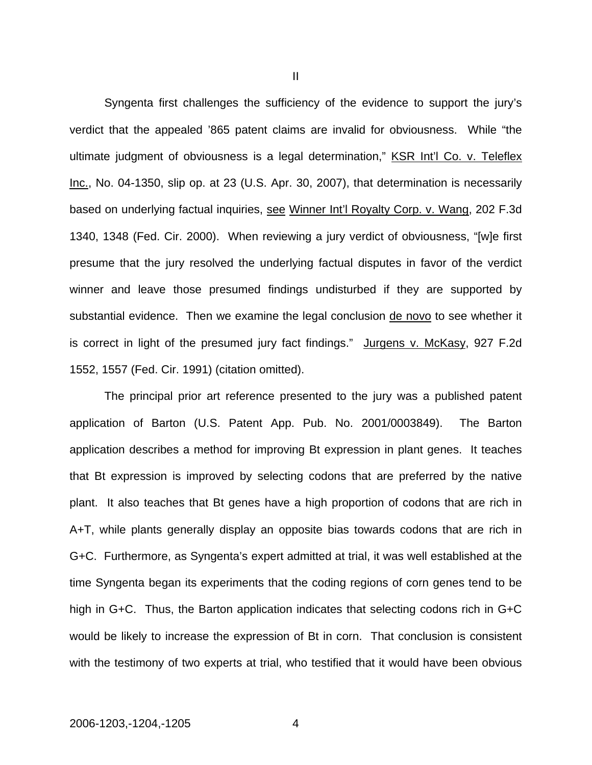Syngenta first challenges the sufficiency of the evidence to support the jury's verdict that the appealed '865 patent claims are invalid for obviousness. While "the ultimate judgment of obviousness is a legal determination," KSR Int'l Co. v. Teleflex Inc., No. 04-1350, slip op. at 23 (U.S. Apr. 30, 2007), that determination is necessarily based on underlying factual inquiries, see Winner Int'l Royalty Corp. v. Wang, 202 F.3d 1340, 1348 (Fed. Cir. 2000). When reviewing a jury verdict of obviousness, "[w]e first presume that the jury resolved the underlying factual disputes in favor of the verdict winner and leave those presumed findings undisturbed if they are supported by substantial evidence. Then we examine the legal conclusion de novo to see whether it is correct in light of the presumed jury fact findings." Jurgens v. McKasy, 927 F.2d 1552, 1557 (Fed. Cir. 1991) (citation omitted).

 The principal prior art reference presented to the jury was a published patent application of Barton (U.S. Patent App. Pub. No. 2001/0003849). The Barton application describes a method for improving Bt expression in plant genes. It teaches that Bt expression is improved by selecting codons that are preferred by the native plant. It also teaches that Bt genes have a high proportion of codons that are rich in A+T, while plants generally display an opposite bias towards codons that are rich in G+C. Furthermore, as Syngenta's expert admitted at trial, it was well established at the time Syngenta began its experiments that the coding regions of corn genes tend to be high in G+C. Thus, the Barton application indicates that selecting codons rich in G+C would be likely to increase the expression of Bt in corn. That conclusion is consistent with the testimony of two experts at trial, who testified that it would have been obvious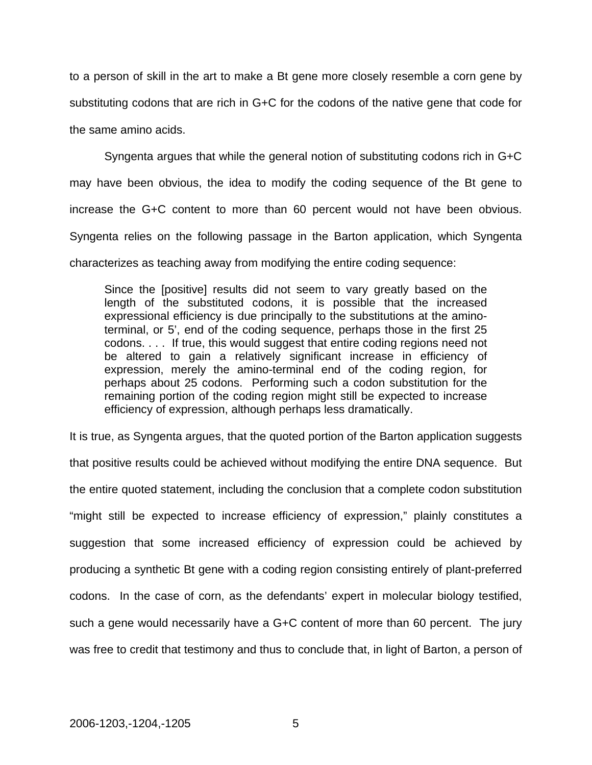to a person of skill in the art to make a Bt gene more closely resemble a corn gene by substituting codons that are rich in G+C for the codons of the native gene that code for the same amino acids.

 Syngenta argues that while the general notion of substituting codons rich in G+C may have been obvious, the idea to modify the coding sequence of the Bt gene to increase the G+C content to more than 60 percent would not have been obvious. Syngenta relies on the following passage in the Barton application, which Syngenta characterizes as teaching away from modifying the entire coding sequence:

Since the [positive] results did not seem to vary greatly based on the length of the substituted codons, it is possible that the increased expressional efficiency is due principally to the substitutions at the aminoterminal, or 5', end of the coding sequence, perhaps those in the first 25 codons. . . . If true, this would suggest that entire coding regions need not be altered to gain a relatively significant increase in efficiency of expression, merely the amino-terminal end of the coding region, for perhaps about 25 codons. Performing such a codon substitution for the remaining portion of the coding region might still be expected to increase efficiency of expression, although perhaps less dramatically.

It is true, as Syngenta argues, that the quoted portion of the Barton application suggests that positive results could be achieved without modifying the entire DNA sequence. But the entire quoted statement, including the conclusion that a complete codon substitution "might still be expected to increase efficiency of expression," plainly constitutes a suggestion that some increased efficiency of expression could be achieved by producing a synthetic Bt gene with a coding region consisting entirely of plant-preferred codons. In the case of corn, as the defendants' expert in molecular biology testified, such a gene would necessarily have a G+C content of more than 60 percent. The jury was free to credit that testimony and thus to conclude that, in light of Barton, a person of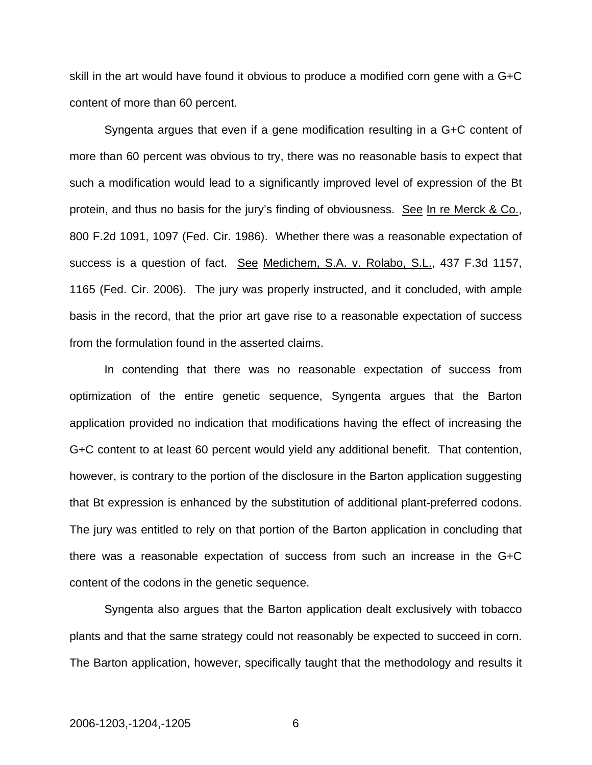skill in the art would have found it obvious to produce a modified corn gene with a G+C content of more than 60 percent.

 Syngenta argues that even if a gene modification resulting in a G+C content of more than 60 percent was obvious to try, there was no reasonable basis to expect that such a modification would lead to a significantly improved level of expression of the Bt protein, and thus no basis for the jury's finding of obviousness. See In re Merck & Co., 800 F.2d 1091, 1097 (Fed. Cir. 1986). Whether there was a reasonable expectation of success is a question of fact. See Medichem, S.A. v. Rolabo, S.L., 437 F.3d 1157, 1165 (Fed. Cir. 2006). The jury was properly instructed, and it concluded, with ample basis in the record, that the prior art gave rise to a reasonable expectation of success from the formulation found in the asserted claims.

In contending that there was no reasonable expectation of success from optimization of the entire genetic sequence, Syngenta argues that the Barton application provided no indication that modifications having the effect of increasing the G+C content to at least 60 percent would yield any additional benefit. That contention, however, is contrary to the portion of the disclosure in the Barton application suggesting that Bt expression is enhanced by the substitution of additional plant-preferred codons. The jury was entitled to rely on that portion of the Barton application in concluding that there was a reasonable expectation of success from such an increase in the G+C content of the codons in the genetic sequence.

Syngenta also argues that the Barton application dealt exclusively with tobacco plants and that the same strategy could not reasonably be expected to succeed in corn. The Barton application, however, specifically taught that the methodology and results it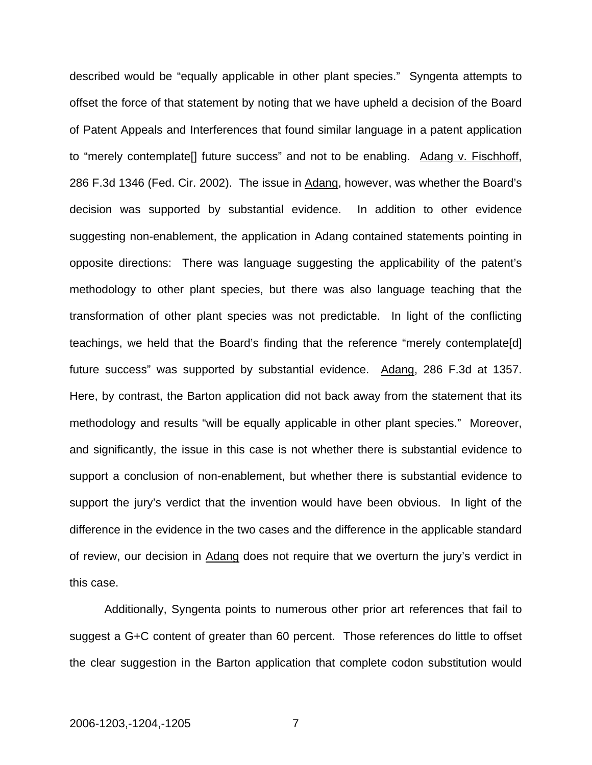described would be "equally applicable in other plant species." Syngenta attempts to offset the force of that statement by noting that we have upheld a decision of the Board of Patent Appeals and Interferences that found similar language in a patent application to "merely contemplate[] future success" and not to be enabling. Adang v. Fischhoff, 286 F.3d 1346 (Fed. Cir. 2002). The issue in Adang, however, was whether the Board's decision was supported by substantial evidence. In addition to other evidence suggesting non-enablement, the application in Adang contained statements pointing in opposite directions: There was language suggesting the applicability of the patent's methodology to other plant species, but there was also language teaching that the transformation of other plant species was not predictable. In light of the conflicting teachings, we held that the Board's finding that the reference "merely contemplate[d] future success" was supported by substantial evidence. Adang, 286 F.3d at 1357. Here, by contrast, the Barton application did not back away from the statement that its methodology and results "will be equally applicable in other plant species." Moreover, and significantly, the issue in this case is not whether there is substantial evidence to support a conclusion of non-enablement, but whether there is substantial evidence to support the jury's verdict that the invention would have been obvious. In light of the difference in the evidence in the two cases and the difference in the applicable standard of review, our decision in Adang does not require that we overturn the jury's verdict in this case.

Additionally, Syngenta points to numerous other prior art references that fail to suggest a G+C content of greater than 60 percent. Those references do little to offset the clear suggestion in the Barton application that complete codon substitution would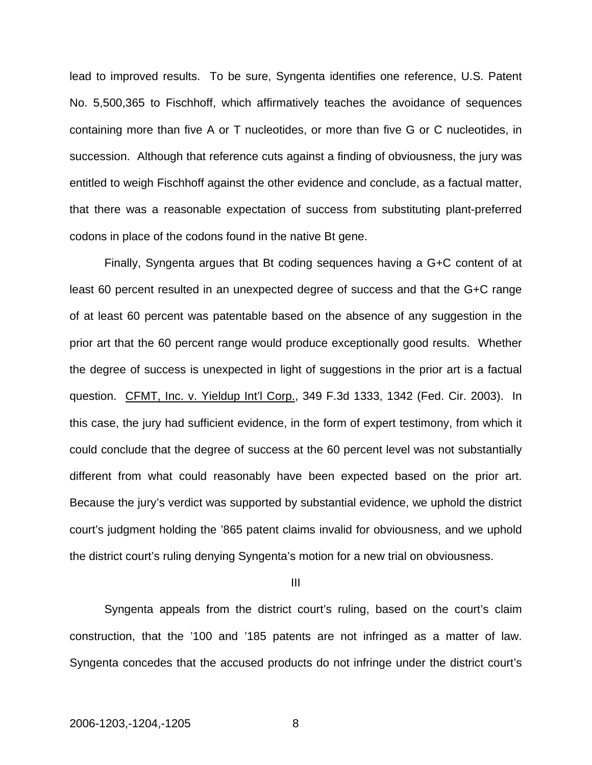lead to improved results. To be sure, Syngenta identifies one reference, U.S. Patent No. 5,500,365 to Fischhoff, which affirmatively teaches the avoidance of sequences containing more than five A or T nucleotides, or more than five G or C nucleotides, in succession. Although that reference cuts against a finding of obviousness, the jury was entitled to weigh Fischhoff against the other evidence and conclude, as a factual matter, that there was a reasonable expectation of success from substituting plant-preferred codons in place of the codons found in the native Bt gene.

Finally, Syngenta argues that Bt coding sequences having a G+C content of at least 60 percent resulted in an unexpected degree of success and that the G+C range of at least 60 percent was patentable based on the absence of any suggestion in the prior art that the 60 percent range would produce exceptionally good results. Whether the degree of success is unexpected in light of suggestions in the prior art is a factual question. CFMT, Inc. v. Yieldup Int'l Corp., 349 F.3d 1333, 1342 (Fed. Cir. 2003). In this case, the jury had sufficient evidence, in the form of expert testimony, from which it could conclude that the degree of success at the 60 percent level was not substantially different from what could reasonably have been expected based on the prior art. Because the jury's verdict was supported by substantial evidence, we uphold the district court's judgment holding the '865 patent claims invalid for obviousness, and we uphold the district court's ruling denying Syngenta's motion for a new trial on obviousness.

III

Syngenta appeals from the district court's ruling, based on the court's claim construction, that the '100 and '185 patents are not infringed as a matter of law. Syngenta concedes that the accused products do not infringe under the district court's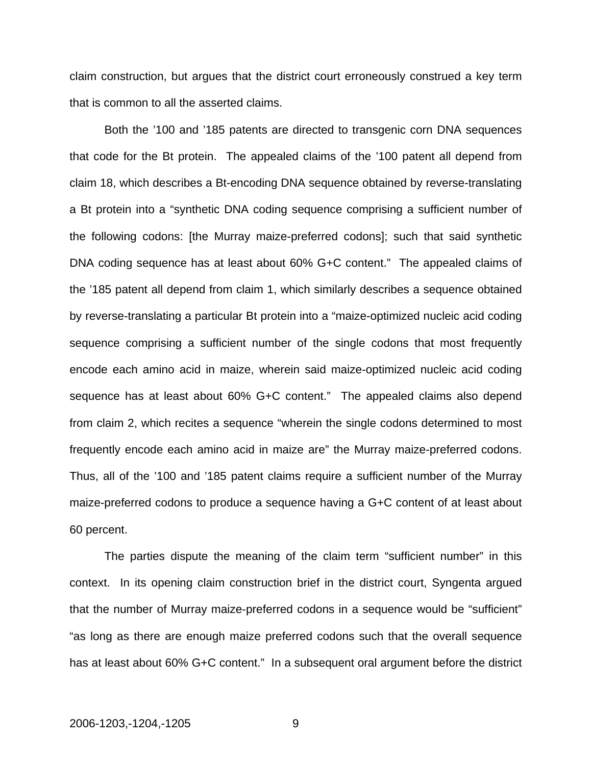claim construction, but argues that the district court erroneously construed a key term that is common to all the asserted claims.

Both the '100 and '185 patents are directed to transgenic corn DNA sequences that code for the Bt protein. The appealed claims of the '100 patent all depend from claim 18, which describes a Bt-encoding DNA sequence obtained by reverse-translating a Bt protein into a "synthetic DNA coding sequence comprising a sufficient number of the following codons: [the Murray maize-preferred codons]; such that said synthetic DNA coding sequence has at least about 60% G+C content." The appealed claims of the '185 patent all depend from claim 1, which similarly describes a sequence obtained by reverse-translating a particular Bt protein into a "maize-optimized nucleic acid coding sequence comprising a sufficient number of the single codons that most frequently encode each amino acid in maize, wherein said maize-optimized nucleic acid coding sequence has at least about 60% G+C content." The appealed claims also depend from claim 2, which recites a sequence "wherein the single codons determined to most frequently encode each amino acid in maize are" the Murray maize-preferred codons. Thus, all of the '100 and '185 patent claims require a sufficient number of the Murray maize-preferred codons to produce a sequence having a G+C content of at least about 60 percent.

The parties dispute the meaning of the claim term "sufficient number" in this context. In its opening claim construction brief in the district court, Syngenta argued that the number of Murray maize-preferred codons in a sequence would be "sufficient" "as long as there are enough maize preferred codons such that the overall sequence has at least about 60% G+C content." In a subsequent oral argument before the district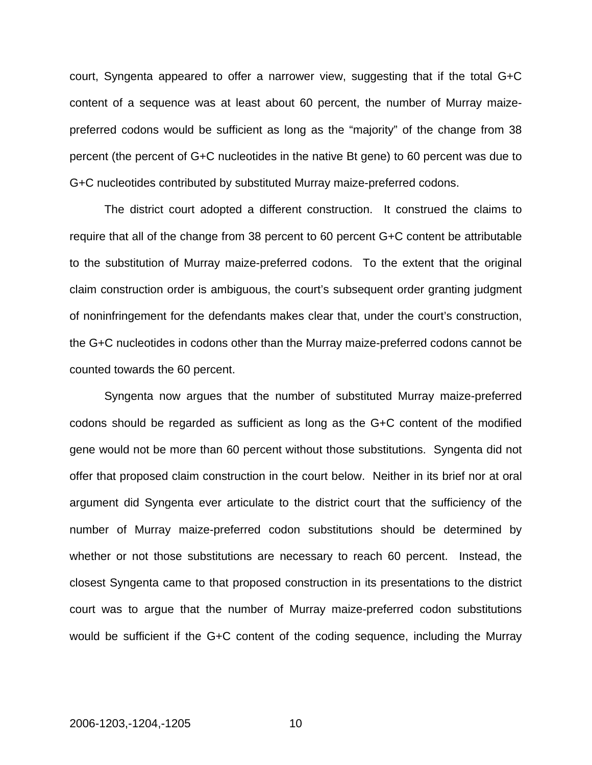court, Syngenta appeared to offer a narrower view, suggesting that if the total G+C content of a sequence was at least about 60 percent, the number of Murray maizepreferred codons would be sufficient as long as the "majority" of the change from 38 percent (the percent of G+C nucleotides in the native Bt gene) to 60 percent was due to G+C nucleotides contributed by substituted Murray maize-preferred codons.

The district court adopted a different construction. It construed the claims to require that all of the change from 38 percent to 60 percent G+C content be attributable to the substitution of Murray maize-preferred codons. To the extent that the original claim construction order is ambiguous, the court's subsequent order granting judgment of noninfringement for the defendants makes clear that, under the court's construction, the G+C nucleotides in codons other than the Murray maize-preferred codons cannot be counted towards the 60 percent.

Syngenta now argues that the number of substituted Murray maize-preferred codons should be regarded as sufficient as long as the G+C content of the modified gene would not be more than 60 percent without those substitutions. Syngenta did not offer that proposed claim construction in the court below. Neither in its brief nor at oral argument did Syngenta ever articulate to the district court that the sufficiency of the number of Murray maize-preferred codon substitutions should be determined by whether or not those substitutions are necessary to reach 60 percent. Instead, the closest Syngenta came to that proposed construction in its presentations to the district court was to argue that the number of Murray maize-preferred codon substitutions would be sufficient if the G+C content of the coding sequence, including the Murray